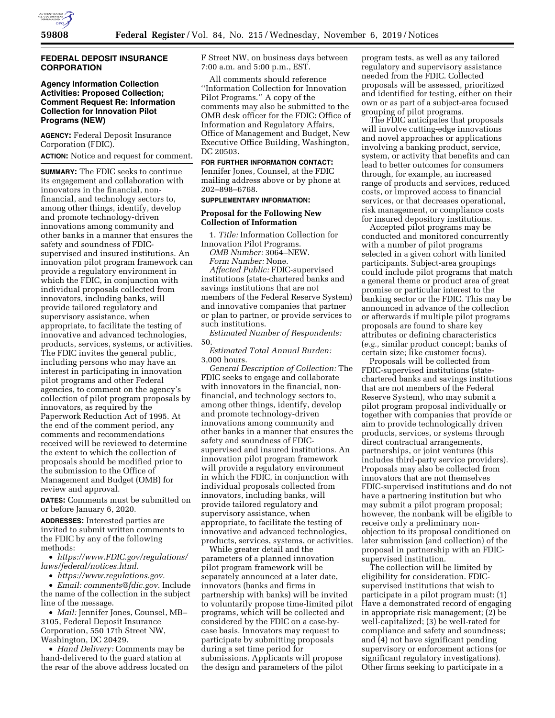

## **FEDERAL DEPOSIT INSURANCE CORPORATION**

# **Agency Information Collection Activities: Proposed Collection; Comment Request Re: Information Collection for Innovation Pilot Programs (NEW)**

**AGENCY:** Federal Deposit Insurance Corporation (FDIC). **ACTION:** Notice and request for comment.

**SUMMARY:** The FDIC seeks to continue its engagement and collaboration with innovators in the financial, nonfinancial, and technology sectors to, among other things, identify, develop and promote technology-driven innovations among community and other banks in a manner that ensures the safety and soundness of FDICsupervised and insured institutions. An innovation pilot program framework can provide a regulatory environment in which the FDIC, in conjunction with individual proposals collected from innovators, including banks, will provide tailored regulatory and supervisory assistance, when appropriate, to facilitate the testing of innovative and advanced technologies, products, services, systems, or activities. The FDIC invites the general public, including persons who may have an interest in participating in innovation pilot programs and other Federal agencies, to comment on the agency's collection of pilot program proposals by innovators, as required by the Paperwork Reduction Act of 1995. At the end of the comment period, any comments and recommendations received will be reviewed to determine the extent to which the collection of proposals should be modified prior to the submission to the Office of Management and Budget (OMB) for review and approval.

**DATES:** Comments must be submitted on or before January 6, 2020.

**ADDRESSES:** Interested parties are invited to submit written comments to the FDIC by any of the following methods:

• *[https://www.FDIC.gov/regulations/](https://www.FDIC.gov/regulations/laws/federal/notices.html) [laws/federal/notices.html.](https://www.FDIC.gov/regulations/laws/federal/notices.html)* 

• *[https://www.regulations.gov.](https://www.regulations.gov)* 

• *Email: [comments@fdic.gov.](mailto:comments@fdic.gov)* Include the name of the collection in the subject line of the message.

• *Mail:* Jennifer Jones, Counsel, MB– 3105, Federal Deposit Insurance Corporation, 550 17th Street NW, Washington, DC 20429.

• *Hand Delivery:* Comments may be hand-delivered to the guard station at the rear of the above address located on F Street NW, on business days between 7:00 a.m. and 5:00 p.m., EST.

All comments should reference ''Information Collection for Innovation Pilot Programs.'' A copy of the comments may also be submitted to the OMB desk officer for the FDIC: Office of Information and Regulatory Affairs, Office of Management and Budget, New Executive Office Building, Washington, DC 20503.

**FOR FURTHER INFORMATION CONTACT:**  Jennifer Jones, Counsel, at the FDIC mailing address above or by phone at 202–898–6768.

## **SUPPLEMENTARY INFORMATION:**

# **Proposal for the Following New Collection of Information**

1. *Title:* Information Collection for Innovation Pilot Programs.

*OMB Number:* 3064–NEW.

*Form Number:* None.

*Affected Public:* FDIC-supervised institutions (state-chartered banks and savings institutions that are not members of the Federal Reserve System) and innovative companies that partner or plan to partner, or provide services to such institutions.

*Estimated Number of Respondents:*  50.

*Estimated Total Annual Burden:*  3,000 hours.

*General Description of Collection:* The FDIC seeks to engage and collaborate with innovators in the financial, nonfinancial, and technology sectors to, among other things, identify, develop and promote technology-driven innovations among community and other banks in a manner that ensures the safety and soundness of FDICsupervised and insured institutions. An innovation pilot program framework will provide a regulatory environment in which the FDIC, in conjunction with individual proposals collected from innovators, including banks, will provide tailored regulatory and supervisory assistance, when appropriate, to facilitate the testing of innovative and advanced technologies, products, services, systems, or activities.

While greater detail and the parameters of a planned innovation pilot program framework will be separately announced at a later date, innovators (banks and firms in partnership with banks) will be invited to voluntarily propose time-limited pilot programs, which will be collected and considered by the FDIC on a case-bycase basis. Innovators may request to participate by submitting proposals during a set time period for submissions. Applicants will propose the design and parameters of the pilot

program tests, as well as any tailored regulatory and supervisory assistance needed from the FDIC. Collected proposals will be assessed, prioritized and identified for testing, either on their own or as part of a subject-area focused grouping of pilot programs.

The FDIC anticipates that proposals will involve cutting-edge innovations and novel approaches or applications involving a banking product, service, system, or activity that benefits and can lead to better outcomes for consumers through, for example, an increased range of products and services, reduced costs, or improved access to financial services, or that decreases operational, risk management, or compliance costs for insured depository institutions.

Accepted pilot programs may be conducted and monitored concurrently with a number of pilot programs selected in a given cohort with limited participants. Subject-area groupings could include pilot programs that match a general theme or product area of great promise or particular interest to the banking sector or the FDIC. This may be announced in advance of the collection or afterwards if multiple pilot programs proposals are found to share key attributes or defining characteristics (*e.g.,* similar product concept; banks of certain size; like customer focus).

Proposals will be collected from FDIC-supervised institutions (statechartered banks and savings institutions that are not members of the Federal Reserve System), who may submit a pilot program proposal individually or together with companies that provide or aim to provide technologically driven products, services, or systems through direct contractual arrangements, partnerships, or joint ventures (this includes third-party service providers). Proposals may also be collected from innovators that are not themselves FDIC-supervised institutions and do not have a partnering institution but who may submit a pilot program proposal; however, the nonbank will be eligible to receive only a preliminary nonobjection to its proposal conditioned on later submission (and collection) of the proposal in partnership with an FDICsupervised institution.

The collection will be limited by eligibility for consideration. FDICsupervised institutions that wish to participate in a pilot program must: (1) Have a demonstrated record of engaging in appropriate risk management; (2) be well-capitalized; (3) be well-rated for compliance and safety and soundness; and (4) not have significant pending supervisory or enforcement actions (or significant regulatory investigations). Other firms seeking to participate in a